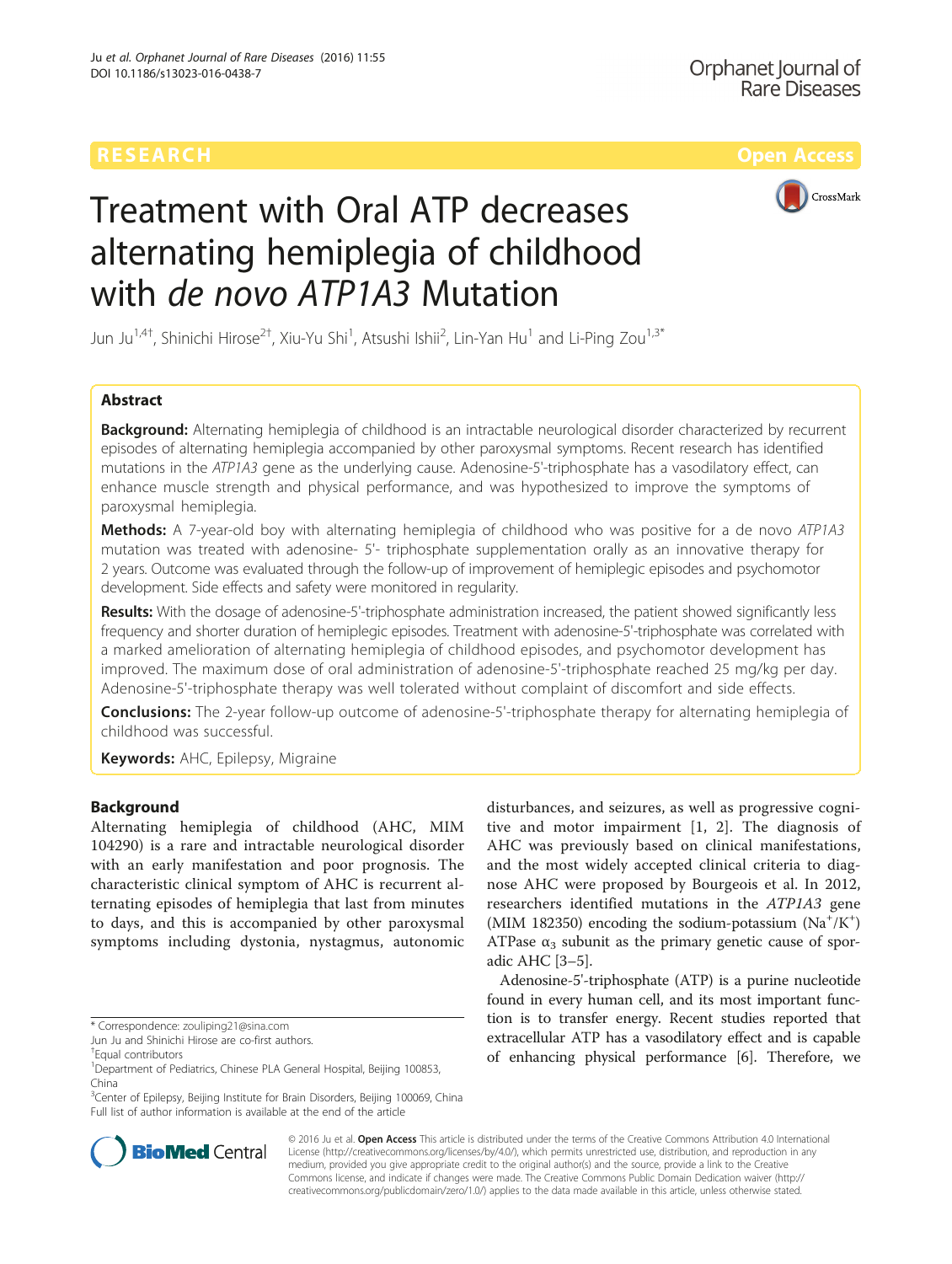

# Treatment with Oral ATP decreases alternating hemiplegia of childhood with *de novo ATP1A3* Mutation

Jun Ju<sup>1,4†</sup>, Shinichi Hirose<sup>2†</sup>, Xiu-Yu Shi<sup>1</sup>, Atsushi Ishii<sup>2</sup>, Lin-Yan Hu<sup>1</sup> and Li-Ping Zou<sup>1,3\*</sup>

# Abstract

Background: Alternating hemiplegia of childhood is an intractable neurological disorder characterized by recurrent episodes of alternating hemiplegia accompanied by other paroxysmal symptoms. Recent research has identified mutations in the ATP1A3 gene as the underlying cause. Adenosine-5'-triphosphate has a vasodilatory effect, can enhance muscle strength and physical performance, and was hypothesized to improve the symptoms of paroxysmal hemiplegia.

**Methods:** A 7-year-old boy with alternating hemiplegia of childhood who was positive for a de novo ATP1A3 mutation was treated with adenosine- 5'- triphosphate supplementation orally as an innovative therapy for 2 years. Outcome was evaluated through the follow-up of improvement of hemiplegic episodes and psychomotor development. Side effects and safety were monitored in regularity.

Results: With the dosage of adenosine-5'-triphosphate administration increased, the patient showed significantly less frequency and shorter duration of hemiplegic episodes. Treatment with adenosine-5'-triphosphate was correlated with a marked amelioration of alternating hemiplegia of childhood episodes, and psychomotor development has improved. The maximum dose of oral administration of adenosine-5'-triphosphate reached 25 mg/kg per day. Adenosine-5'-triphosphate therapy was well tolerated without complaint of discomfort and side effects.

**Conclusions:** The 2-year follow-up outcome of adenosine-5'-triphosphate therapy for alternating hemiplegia of childhood was successful.

Keywords: AHC, Epilepsy, Migraine

# Background

Alternating hemiplegia of childhood (AHC, MIM 104290) is a rare and intractable neurological disorder with an early manifestation and poor prognosis. The characteristic clinical symptom of AHC is recurrent alternating episodes of hemiplegia that last from minutes to days, and this is accompanied by other paroxysmal symptoms including dystonia, nystagmus, autonomic

<sup>3</sup>Center of Epilepsy, Beijing Institute for Brain Disorders, Beijing 100069, China Full list of author information is available at the end of the article



Adenosine-5'-triphosphate (ATP) is a purine nucleotide found in every human cell, and its most important function is to transfer energy. Recent studies reported that extracellular ATP has a vasodilatory effect and is capable of enhancing physical performance [[6\]](#page-4-0). Therefore, we



© 2016 Ju et al. Open Access This article is distributed under the terms of the Creative Commons Attribution 4.0 International License ([http://creativecommons.org/licenses/by/4.0/\)](http://creativecommons.org/licenses/by/4.0/), which permits unrestricted use, distribution, and reproduction in any medium, provided you give appropriate credit to the original author(s) and the source, provide a link to the Creative Commons license, and indicate if changes were made. The Creative Commons Public Domain Dedication waiver ([http://](http://creativecommons.org/publicdomain/zero/1.0/) [creativecommons.org/publicdomain/zero/1.0/\)](http://creativecommons.org/publicdomain/zero/1.0/) applies to the data made available in this article, unless otherwise stated.

<sup>\*</sup> Correspondence: [zouliping21@sina.com](mailto:zouliping21@sina.com)

Jun Ju and Shinichi Hirose are co-first authors.

<sup>†</sup> Equal contributors

<sup>&</sup>lt;sup>1</sup>Department of Pediatrics, Chinese PLA General Hospital, Beijing 100853, China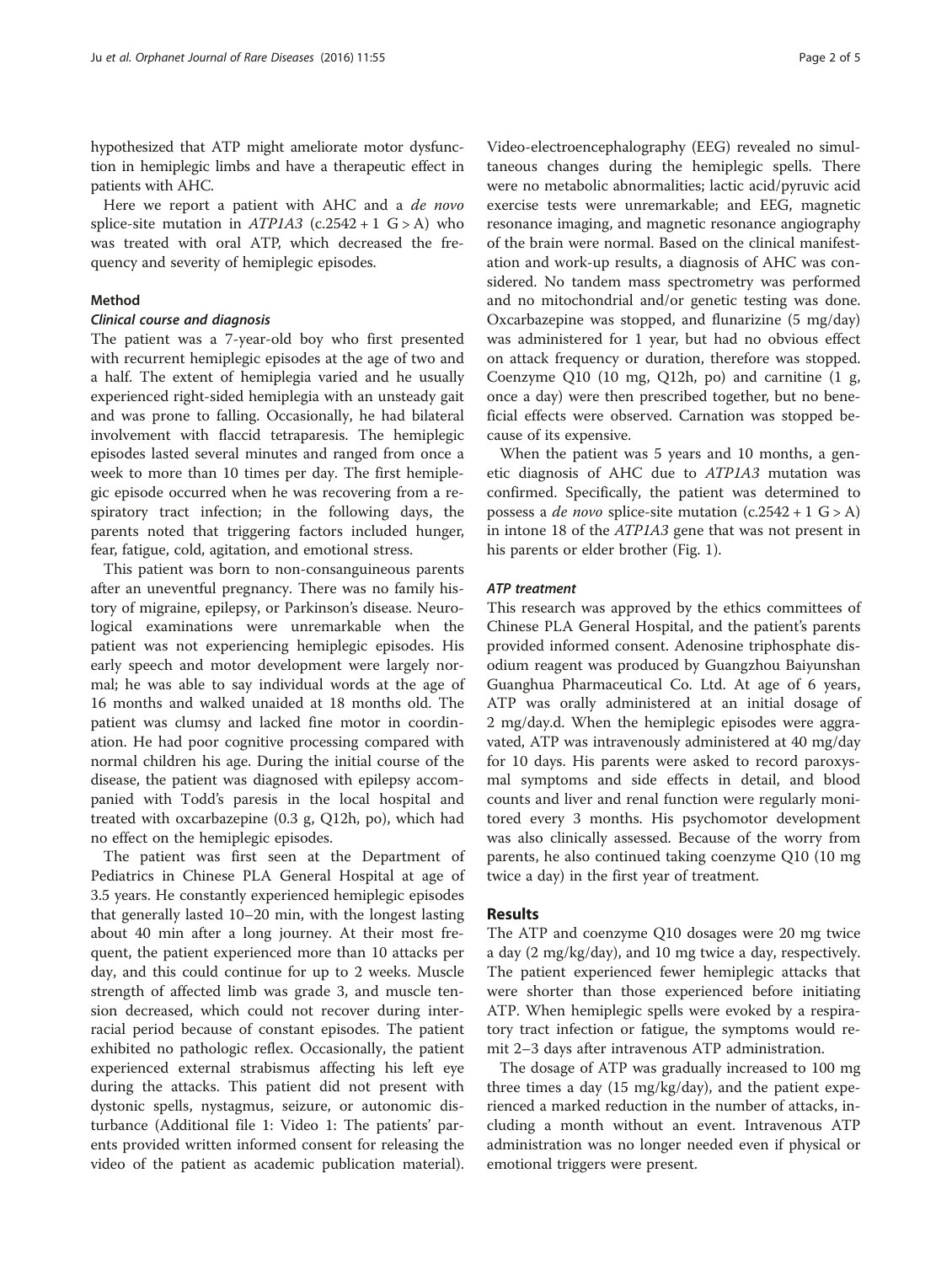hypothesized that ATP might ameliorate motor dysfunction in hemiplegic limbs and have a therapeutic effect in patients with AHC.

Here we report a patient with AHC and a *de novo* splice-site mutation in  $ATP1A3$  (c.2542 + 1 G > A) who was treated with oral ATP, which decreased the frequency and severity of hemiplegic episodes.

#### Method

# Clinical course and diagnosis

The patient was a 7-year-old boy who first presented with recurrent hemiplegic episodes at the age of two and a half. The extent of hemiplegia varied and he usually experienced right-sided hemiplegia with an unsteady gait and was prone to falling. Occasionally, he had bilateral involvement with flaccid tetraparesis. The hemiplegic episodes lasted several minutes and ranged from once a week to more than 10 times per day. The first hemiplegic episode occurred when he was recovering from a respiratory tract infection; in the following days, the parents noted that triggering factors included hunger, fear, fatigue, cold, agitation, and emotional stress.

This patient was born to non-consanguineous parents after an uneventful pregnancy. There was no family history of migraine, epilepsy, or Parkinson's disease. Neurological examinations were unremarkable when the patient was not experiencing hemiplegic episodes. His early speech and motor development were largely normal; he was able to say individual words at the age of 16 months and walked unaided at 18 months old. The patient was clumsy and lacked fine motor in coordination. He had poor cognitive processing compared with normal children his age. During the initial course of the disease, the patient was diagnosed with epilepsy accompanied with Todd's paresis in the local hospital and treated with oxcarbazepine (0.3 g, Q12h, po), which had no effect on the hemiplegic episodes.

The patient was first seen at the Department of Pediatrics in Chinese PLA General Hospital at age of 3.5 years. He constantly experienced hemiplegic episodes that generally lasted 10–20 min, with the longest lasting about 40 min after a long journey. At their most frequent, the patient experienced more than 10 attacks per day, and this could continue for up to 2 weeks. Muscle strength of affected limb was grade 3, and muscle tension decreased, which could not recover during interracial period because of constant episodes. The patient exhibited no pathologic reflex. Occasionally, the patient experienced external strabismus affecting his left eye during the attacks. This patient did not present with dystonic spells, nystagmus, seizure, or autonomic disturbance (Additional file [1:](#page-4-0) Video 1: The patients' parents provided written informed consent for releasing the video of the patient as academic publication material).

Video-electroencephalography (EEG) revealed no simultaneous changes during the hemiplegic spells. There were no metabolic abnormalities; lactic acid/pyruvic acid exercise tests were unremarkable; and EEG, magnetic resonance imaging, and magnetic resonance angiography of the brain were normal. Based on the clinical manifestation and work-up results, a diagnosis of AHC was considered. No tandem mass spectrometry was performed and no mitochondrial and/or genetic testing was done. Oxcarbazepine was stopped, and flunarizine (5 mg/day) was administered for 1 year, but had no obvious effect on attack frequency or duration, therefore was stopped. Coenzyme Q10 (10 mg, Q12h, po) and carnitine (1 g, once a day) were then prescribed together, but no beneficial effects were observed. Carnation was stopped because of its expensive.

When the patient was 5 years and 10 months, a genetic diagnosis of AHC due to ATP1A3 mutation was confirmed. Specifically, the patient was determined to possess a *de novo* splice-site mutation  $(c.2542 + 1 \text{ G} > A)$ in intone 18 of the ATP1A3 gene that was not present in his parents or elder brother (Fig. [1](#page-2-0)).

### ATP treatment

This research was approved by the ethics committees of Chinese PLA General Hospital, and the patient's parents provided informed consent. Adenosine triphosphate disodium reagent was produced by Guangzhou Baiyunshan Guanghua Pharmaceutical Co. Ltd. At age of 6 years, ATP was orally administered at an initial dosage of 2 mg/day.d. When the hemiplegic episodes were aggravated, ATP was intravenously administered at 40 mg/day for 10 days. His parents were asked to record paroxysmal symptoms and side effects in detail, and blood counts and liver and renal function were regularly monitored every 3 months. His psychomotor development was also clinically assessed. Because of the worry from parents, he also continued taking coenzyme Q10 (10 mg twice a day) in the first year of treatment.

## Results

The ATP and coenzyme Q10 dosages were 20 mg twice a day (2 mg/kg/day), and 10 mg twice a day, respectively. The patient experienced fewer hemiplegic attacks that were shorter than those experienced before initiating ATP. When hemiplegic spells were evoked by a respiratory tract infection or fatigue, the symptoms would remit 2–3 days after intravenous ATP administration.

The dosage of ATP was gradually increased to 100 mg three times a day (15 mg/kg/day), and the patient experienced a marked reduction in the number of attacks, including a month without an event. Intravenous ATP administration was no longer needed even if physical or emotional triggers were present.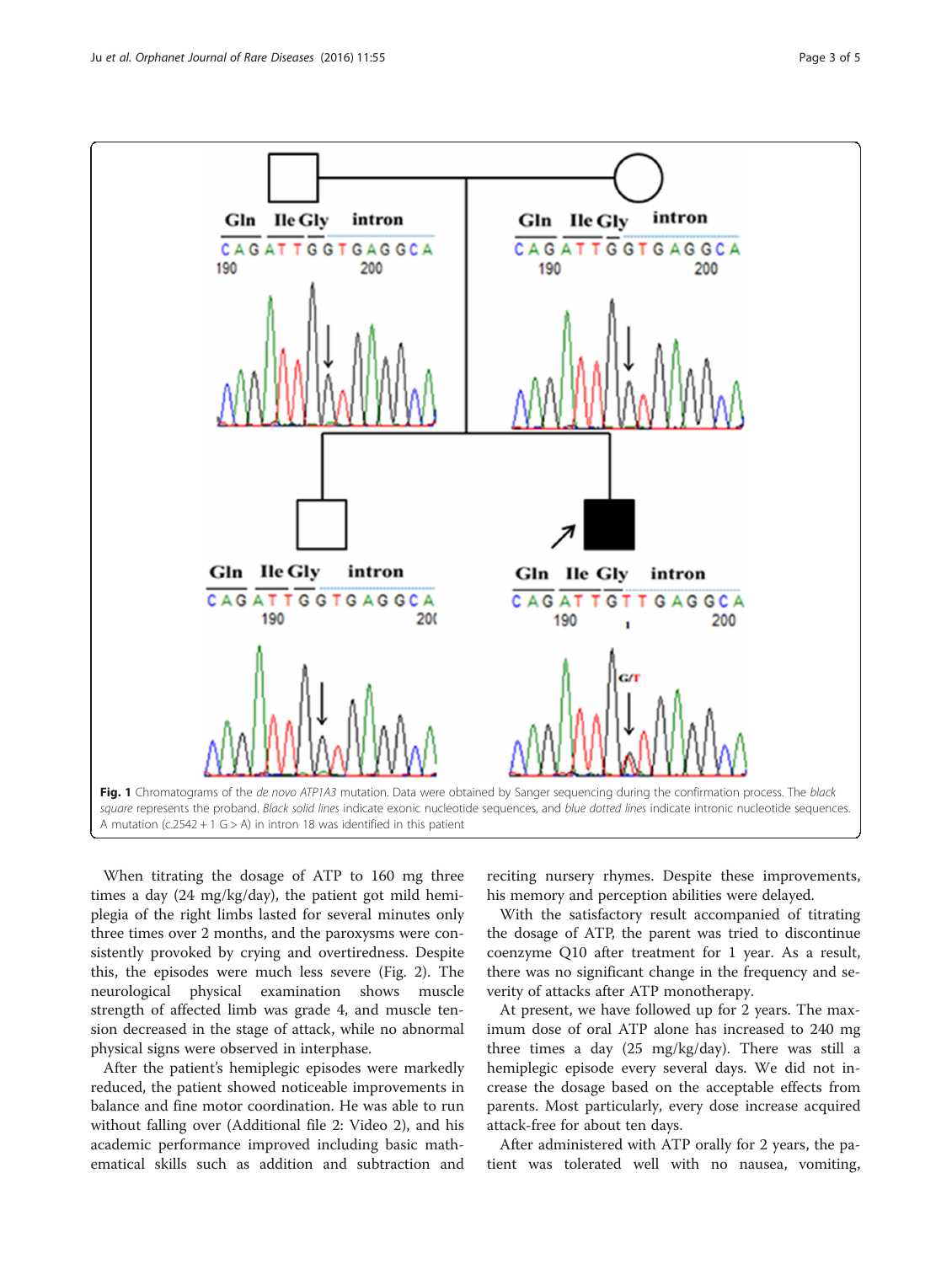<span id="page-2-0"></span>

When titrating the dosage of ATP to 160 mg three times a day (24 mg/kg/day), the patient got mild hemiplegia of the right limbs lasted for several minutes only three times over 2 months, and the paroxysms were consistently provoked by crying and overtiredness. Despite this, the episodes were much less severe (Fig. [2](#page-3-0)). The neurological physical examination shows muscle strength of affected limb was grade 4, and muscle tension decreased in the stage of attack, while no abnormal physical signs were observed in interphase.

After the patient's hemiplegic episodes were markedly reduced, the patient showed noticeable improvements in balance and fine motor coordination. He was able to run without falling over (Additional file [2:](#page-4-0) Video 2), and his academic performance improved including basic mathematical skills such as addition and subtraction and

reciting nursery rhymes. Despite these improvements, his memory and perception abilities were delayed.

With the satisfactory result accompanied of titrating the dosage of ATP, the parent was tried to discontinue coenzyme Q10 after treatment for 1 year. As a result, there was no significant change in the frequency and severity of attacks after ATP monotherapy.

At present, we have followed up for 2 years. The maximum dose of oral ATP alone has increased to 240 mg three times a day (25 mg/kg/day). There was still a hemiplegic episode every several days. We did not increase the dosage based on the acceptable effects from parents. Most particularly, every dose increase acquired attack-free for about ten days.

After administered with ATP orally for 2 years, the patient was tolerated well with no nausea, vomiting,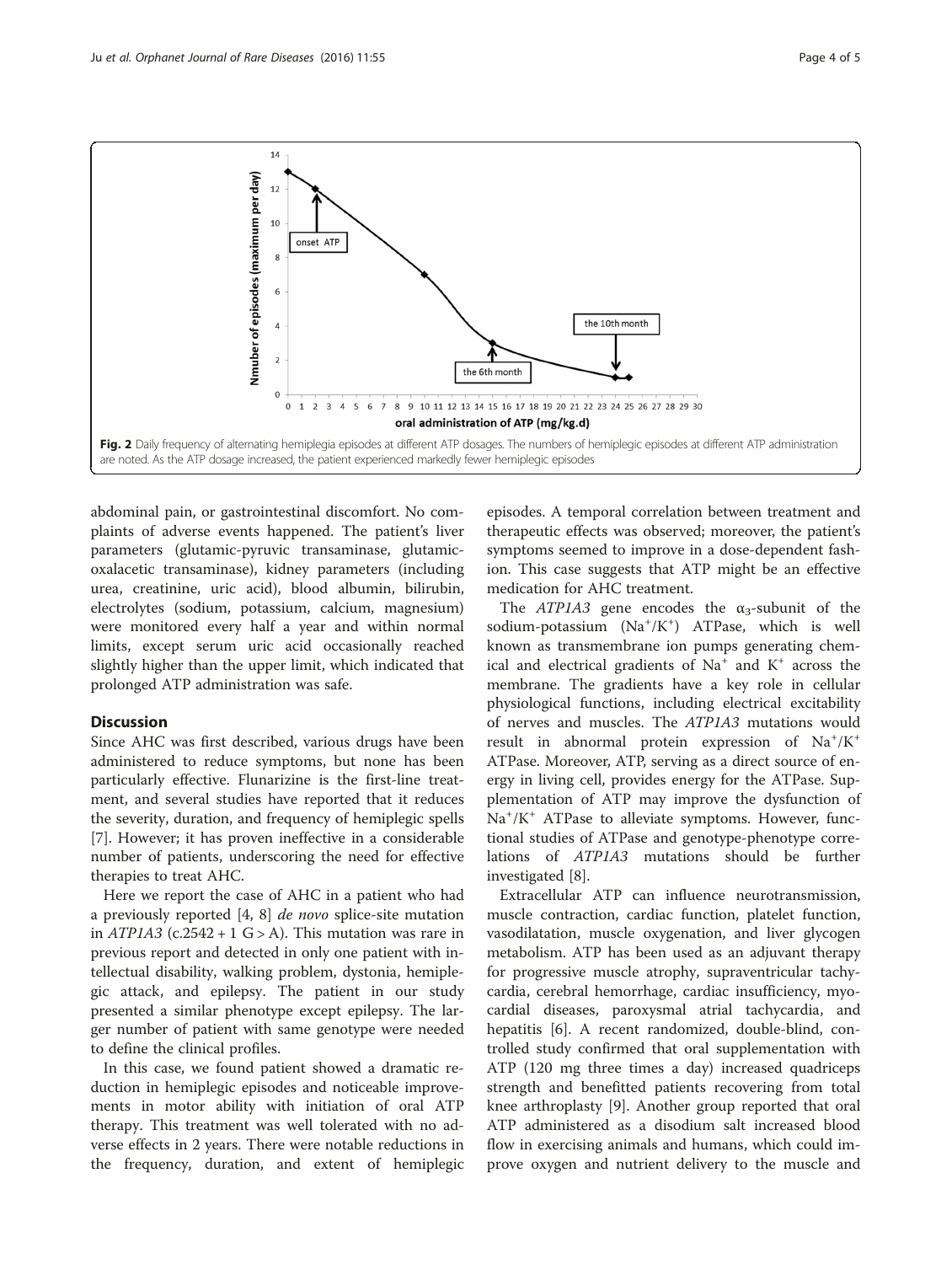<span id="page-3-0"></span>

abdominal pain, or gastrointestinal discomfort. No complaints of adverse events happened. The patient's liver parameters (glutamic-pyruvic transaminase, glutamicoxalacetic transaminase), kidney parameters (including urea, creatinine, uric acid), blood albumin, bilirubin, electrolytes (sodium, potassium, calcium, magnesium) were monitored every half a year and within normal limits, except serum uric acid occasionally reached slightly higher than the upper limit, which indicated that prolonged ATP administration was safe.

# **Discussion**

Since AHC was first described, various drugs have been administered to reduce symptoms, but none has been particularly effective. Flunarizine is the first-line treatment, and several studies have reported that it reduces the severity, duration, and frequency of hemiplegic spells [[7\]](#page-4-0). However; it has proven ineffective in a considerable number of patients, underscoring the need for effective therapies to treat AHC.

Here we report the case of AHC in a patient who had a previously reported [\[4](#page-4-0), [8](#page-4-0)] de novo splice-site mutation in  $ATPIA3$  (c.2542 + 1 G > A). This mutation was rare in previous report and detected in only one patient with intellectual disability, walking problem, dystonia, hemiplegic attack, and epilepsy. The patient in our study presented a similar phenotype except epilepsy. The larger number of patient with same genotype were needed to define the clinical profiles.

In this case, we found patient showed a dramatic reduction in hemiplegic episodes and noticeable improvements in motor ability with initiation of oral ATP therapy. This treatment was well tolerated with no adverse effects in 2 years. There were notable reductions in the frequency, duration, and extent of hemiplegic episodes. A temporal correlation between treatment and therapeutic effects was observed; moreover, the patient's symptoms seemed to improve in a dose-dependent fashion. This case suggests that ATP might be an effective medication for AHC treatment.

The  $ATP1A3$  gene encodes the  $\alpha_3$ -subunit of the sodium-potassium (Na<sup>+</sup>/K<sup>+</sup>) ATPase, which is well known as transmembrane ion pumps generating chemical and electrical gradients of  $Na<sup>+</sup>$  and  $K<sup>+</sup>$  across the membrane. The gradients have a key role in cellular physiological functions, including electrical excitability of nerves and muscles. The ATP1A3 mutations would result in abnormal protein expression of Na<sup>+</sup>/K<sup>+</sup> ATPase. Moreover, ATP, serving as a direct source of energy in living cell, provides energy for the ATPase. Supplementation of ATP may improve the dysfunction of Na<sup>+</sup>/K<sup>+</sup> ATPase to alleviate symptoms. However, functional studies of ATPase and genotype-phenotype correlations of ATP1A3 mutations should be further investigated [\[8\]](#page-4-0).

Extracellular ATP can influence neurotransmission, muscle contraction, cardiac function, platelet function, vasodilatation, muscle oxygenation, and liver glycogen metabolism. ATP has been used as an adjuvant therapy for progressive muscle atrophy, supraventricular tachycardia, cerebral hemorrhage, cardiac insufficiency, myocardial diseases, paroxysmal atrial tachycardia, and hepatitis [\[6](#page-4-0)]. A recent randomized, double-blind, controlled study confirmed that oral supplementation with ATP (120 mg three times a day) increased quadriceps strength and benefitted patients recovering from total knee arthroplasty [[9\]](#page-4-0). Another group reported that oral ATP administered as a disodium salt increased blood flow in exercising animals and humans, which could improve oxygen and nutrient delivery to the muscle and